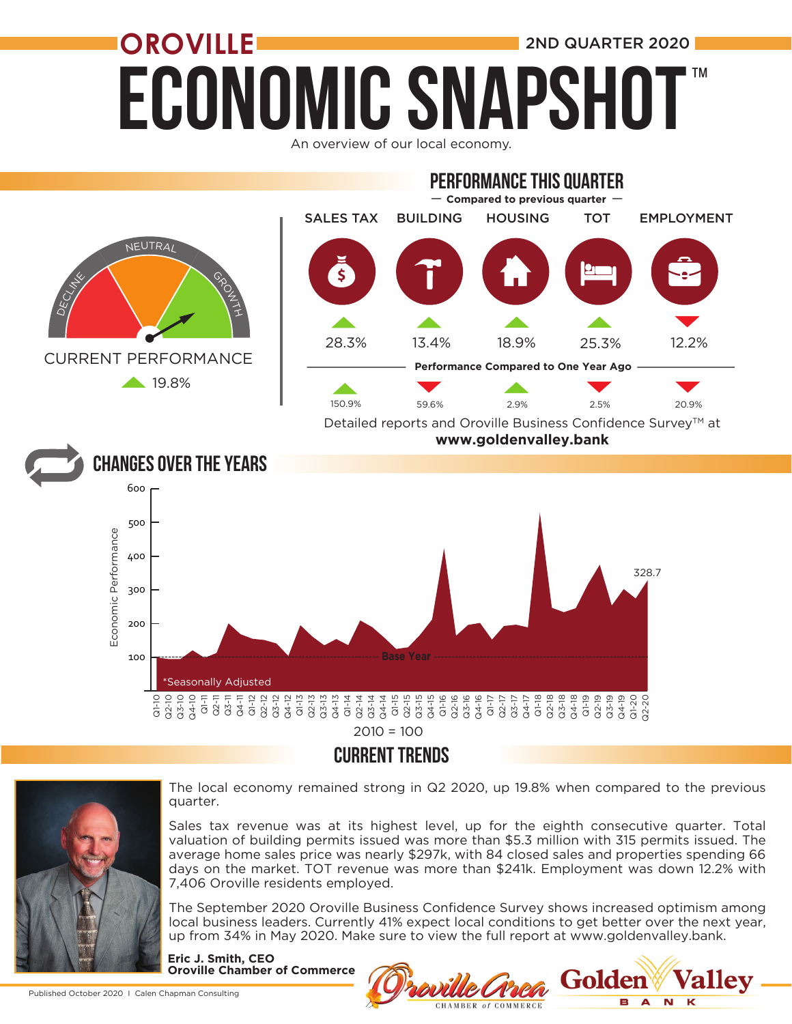## ECONOMIC SNAPSH **OROVILLE** 2ND QUARTER 2020 ™





### CURRENT TRENDS



The local economy remained strong in Q2 2020, up 19.8% when compared to the previous quarter.

Sales tax revenue was at its highest level, up for the eighth consecutive quarter. Total valuation of building permits issued was more than \$5.3 million with 315 permits issued. The average home sales price was nearly \$297k, with 84 closed sales and properties spending 66 days on the market. TOT revenue was more than \$241k. Employment was down 12.2% with 7,406 Oroville residents employed.

The September 2020 Oroville Business Confidence Survey shows increased optimism among local business leaders. Currently 41% expect local conditions to get better over the next year, up from 34% in May 2020. Make sure to view the full report at www.goldenvalley.bank.

**Eric J. Smith, CEO Oroville Chamber of Commerce**

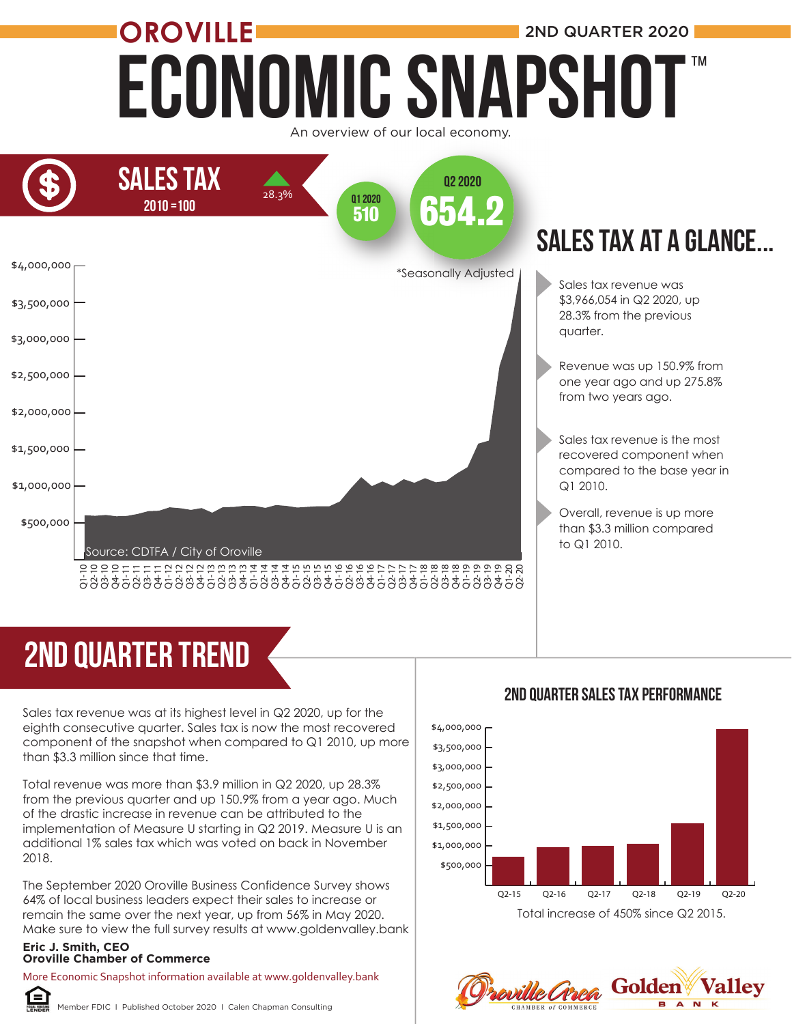### Economic Snapshot **OROVILLE** 2ND QUARTER 2020 An overview of our local economy. ™





# 2ND quarter trend

Sales tax revenue was at its highest level in Q2 2020, up for the eighth consecutive quarter. Sales tax is now the most recovered component of the snapshot when compared to Q1 2010, up more than \$3.3 million since that time.

Total revenue was more than \$3.9 million in Q2 2020, up 28.3% from the previous quarter and up 150.9% from a year ago. Much of the drastic increase in revenue can be attributed to the implementation of Measure U starting in Q2 2019. Measure U is an additional 1% sales tax which was voted on back in November 2018. **OROVIGE CHAMBER 1998**<br>
Sales tax revenue was at its higher eighth consecutive quarter. Sales<br>
component of the snapshot where than \$3.3 million since that time.<br>
Total revenue was more than \$3.5<br>
from the previous quarter

The September 2020 Oroville Business Confidence Survey shows 64% of local business leaders expect their sales to increase or remain the same over the next year, up from 56% in May 2020. Make sure to view the full survey results at www.goldenvalley.bank

### **Eric J. Smith, CEO**

More Economic Snapshot information available at www.goldenvalley.bank



Member FDIC I Published October 2020 I Calen Chapman Consulting

#### 2ND QUarter Sales Tax Performance



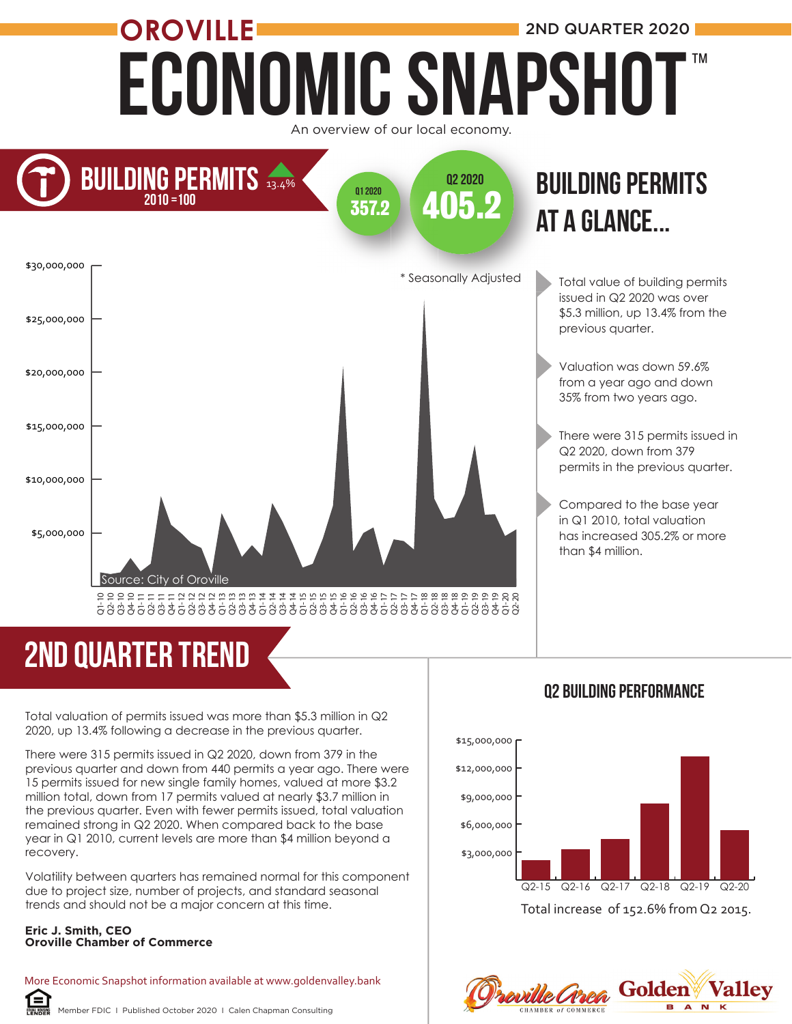### ECONOMIC SNAPSHOT **OROVILLE** 2ND QUARTER 2020 An overview of our local economy. ™



### at a glance... at **BUILDING PERMITS**

Total value of building permits issued in Q2 2020 was over \$5.3 million, up 13.4% from the previous quarter.

Valuation was down 59.6% from a year ago and down 35% from two years ago.

There were 315 permits issued in Q2 2020, down from 379 permits in the previous quarter.

Compared to the base year in Q1 2010, total valuation has increased 305.2% or more than \$4 million.

# 2ND quarter trend

Total valuation of permits issued was more than \$5.3 million in Q2 2020, up 13.4% following a decrease in the previous quarter.

There were 315 permits issued in Q2 2020, down from 379 in the previous quarter and down from 440 permits a year ago. There were 15 permits issued for new single family homes, valued at more \$3.2 million total, down from 17 permits valued at nearly \$3.7 million in the previous quarter. Even with fewer permits issued, total valuation remained strong in Q2 2020. When compared back to the base year in Q1 2010, current levels are more than \$4 million beyond a recovery.

Volatility between quarters has remained normal for this component due to project size, number of projects, and standard seasonal trends and should not be a major concern at this time.

#### **Eric J. Smith, CEO Oroville Chamber of Commerce**

ſ=`

More Economic Snapshot information available at www.goldenvalley.bank

#### Member FDIC I Published October 2020 I Calen Chapman Consulting





Proville Croea Golden **Vallev**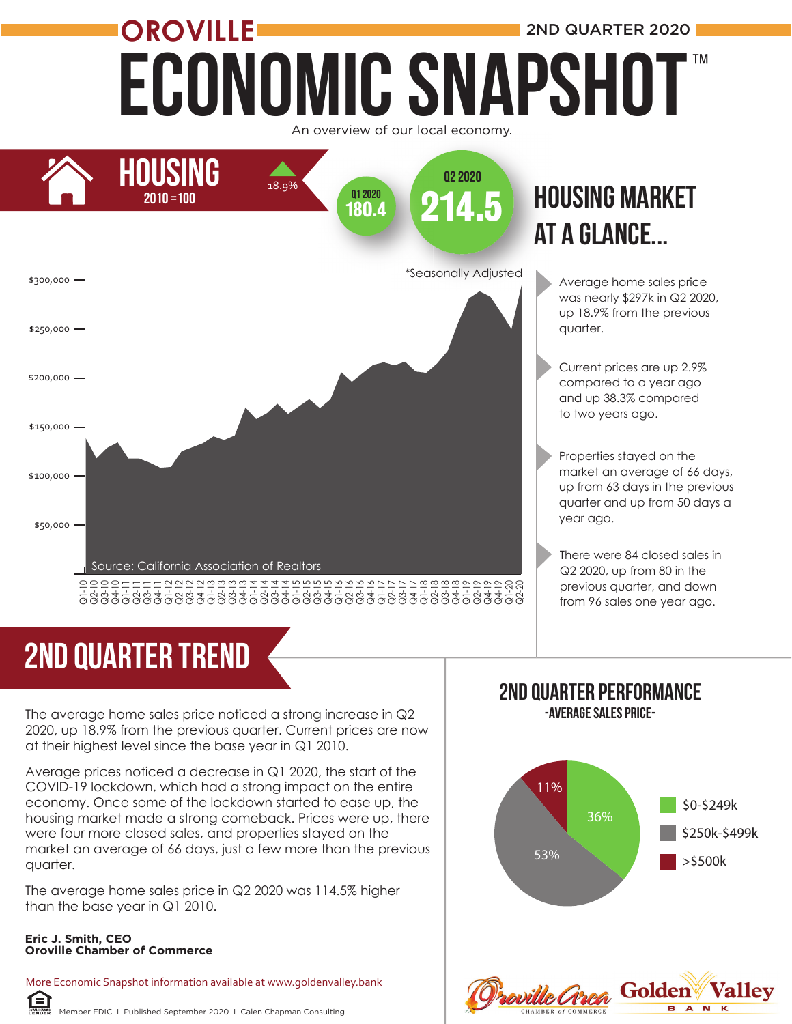## Economic Snapshot **OROVILLE** 2ND QUARTER 2020 ™





# 2ND quarter trend

The average home sales price noticed a strong increase in Q2 2020, up 18.9% from the previous quarter. Current prices are now at their highest level since the base year in Q1 2010.

Average prices noticed a decrease in Q1 2020, the start of the COVID-19 lockdown, which had a strong impact on the entire economy. Once some of the lockdown started to ease up, the housing market made a strong comeback. Prices were up, there were four more closed sales, and properties stayed on the market an average of 66 days, just a few more than the previous quarter.

The average home sales price in Q2 2020 was 114.5% higher than the base year in Q1 2010.

#### **Eric J. Smith, CEO Oroville Chamber of Commerce**

自

More Economic Snapshot information available at www.goldenvalley.bank

#### 2ND Quarter Performance -Average Sales Price-

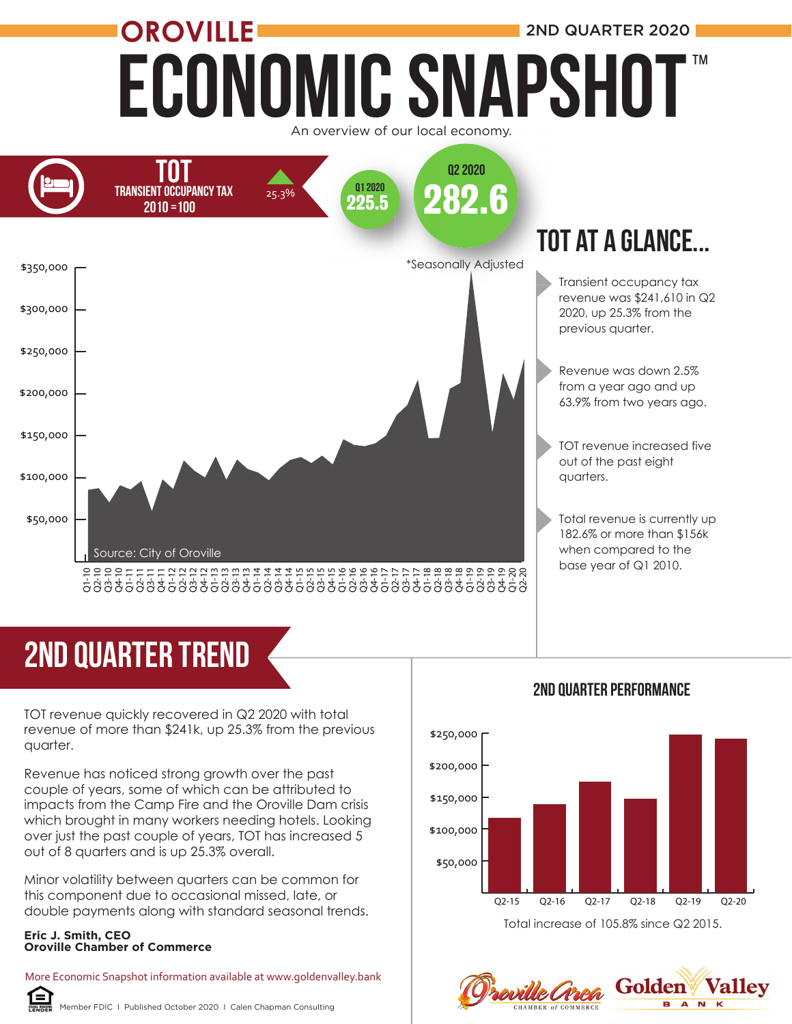## Economic Snapshot **OROVILLE** 2ND QUARTER 2020 ™





# 2ND quarter trend

TOT revenue quickly recovered in Q2 2020 with total revenue of more than \$241k, up 25.3% from the previous quarter.

Revenue has noticed strong growth over the past couple of years, some of which can be attributed to impacts from the Camp Fire and the Oroville Dam crisis which brought in many workers needing hotels. Looking over just the past couple of years, TOT has increased 5 out of 8 quarters and is up 25.3% overall.

Minor volatility between quarters can be common for this component due to occasional missed, late, or double payments along with standard seasonal trends.

#### **Eric J. Smith, CEO Oroville Chamber of Commerce**

More Economic Snapshot information available at www.goldenvalley.bank



Member FDIC I Published October 2020 I Calen Chapman Consulting

### \$50,000 \$100,000 \$150,000 \$200,000 \$250,000 Q2-15 Q2-16 Q2-17 Q2-18 Q2-19 Q2-20 Total increase of 105.8% since Q2 2015.

#### **Valley Golden** soville Croca

N

#### 2ND Quarter Performance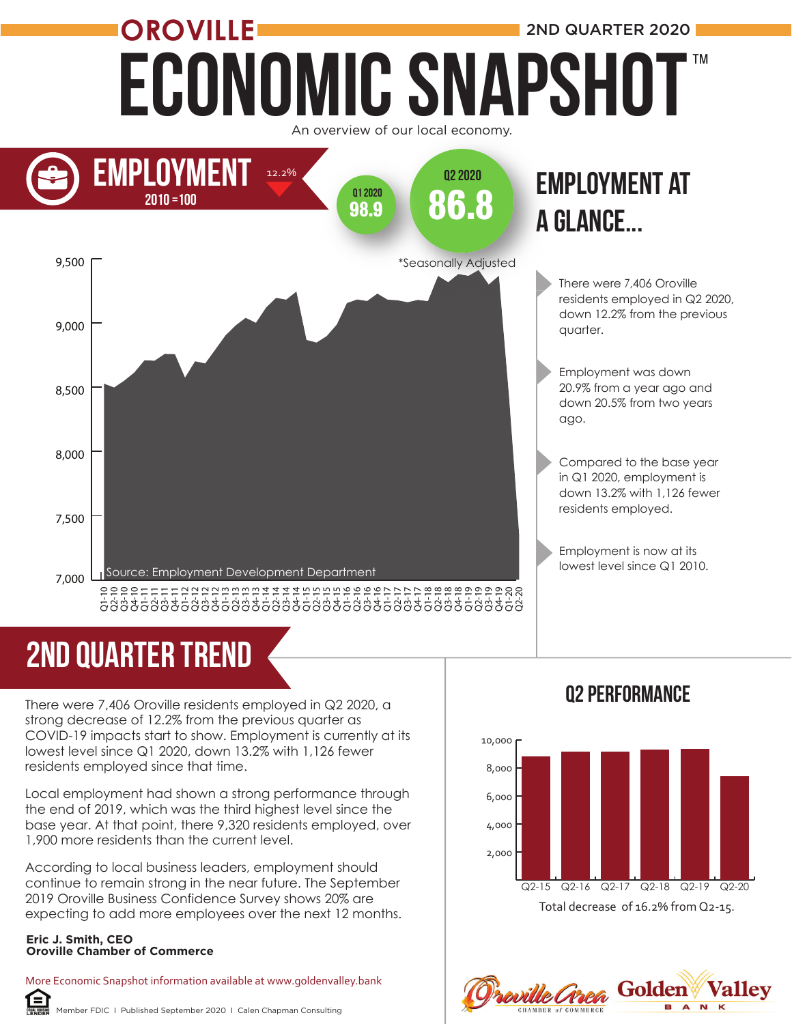

## 2nd quarter trend

There were 7,406 Oroville residents employed in Q2 2020, a strong decrease of 12.2% from the previous quarter as COVID-19 impacts start to show. Employment is currently at its lowest level since Q1 2020, down 13.2% with 1,126 fewer residents employed since that time.

Local employment had shown a strong performance through the end of 2019, which was the third highest level since the base year. At that point, there 9,320 residents employed, over 1,900 more residents than the current level.

According to local business leaders, employment should continue to remain strong in the near future. The September 2019 Oroville Business Confidence Survey shows 20% are expecting to add more employees over the next 12 months.

#### **Eric J. Smith, CEO Oroville Chamber of Commerce**

More Economic Snapshot information available at www.goldenvalley.bank 臼

Member FDIC I Published September 2020 I Calen Chapman Consulting

### Q2 Performance



Proville Grea Golden **Vallev**